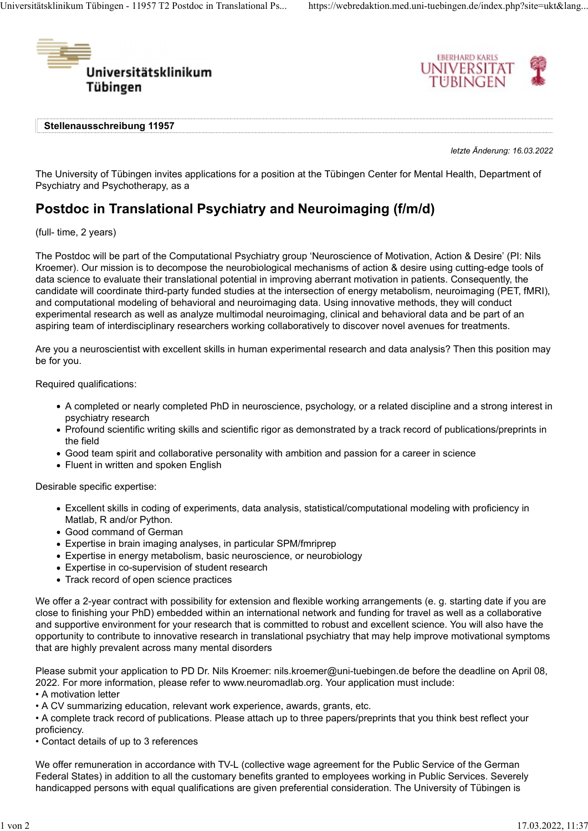



Stellenausschreibung 11957

letzte Änderung: 16.03.2022

The University of Tübingen invites applications for a position at the Tübingen Center for Mental Health, Department of Psychiatry and Psychotherapy, as a

## Postdoc in Translational Psychiatry and Neuroimaging (f/m/d)

(full- time, 2 years)

The Postdoc will be part of the Computational Psychiatry group 'Neuroscience of Motivation, Action & Desire' (PI: Nils Kroemer). Our mission is to decompose the neurobiological mechanisms of action & desire using cutting-edge tools of data science to evaluate their translational potential in improving aberrant motivation in patients. Consequently, the candidate will coordinate third-party funded studies at the intersection of energy metabolism, neuroimaging (PET, fMRI), and computational modeling of behavioral and neuroimaging data. Using innovative methods, they will conduct experimental research as well as analyze multimodal neuroimaging, clinical and behavioral data and be part of an aspiring team of interdisciplinary researchers working collaboratively to discover novel avenues for treatments.

Are you a neuroscientist with excellent skills in human experimental research and data analysis? Then this position may be for you.

Required qualifications:

- A completed or nearly completed PhD in neuroscience, psychology, or a related discipline and a strong interest in psychiatry research
- Profound scientific writing skills and scientific rigor as demonstrated by a track record of publications/preprints in the field
- Good team spirit and collaborative personality with ambition and passion for a career in science
- Fluent in written and spoken English

Desirable specific expertise:

- Excellent skills in coding of experiments, data analysis, statistical/computational modeling with proficiency in Matlab, R and/or Python.
- Good command of German
- Expertise in brain imaging analyses, in particular SPM/fmriprep
- Expertise in energy metabolism, basic neuroscience, or neurobiology
- Expertise in co-supervision of student research
- Track record of open science practices

We offer a 2-year contract with possibility for extension and flexible working arrangements (e. g. starting date if you are close to finishing your PhD) embedded within an international network and funding for travel as well as a collaborative and supportive environment for your research that is committed to robust and excellent science. You will also have the opportunity to contribute to innovative research in translational psychiatry that may help improve motivational symptoms that are highly prevalent across many mental disorders

Please submit your application to PD Dr. Nils Kroemer: nils.kroemer@uni-tuebingen.de before the deadline on April 08, 2022. For more information, please refer to www.neuromadlab.org. Your application must include:

• A motivation letter

• A CV summarizing education, relevant work experience, awards, grants, etc.

• A complete track record of publications. Please attach up to three papers/preprints that you think best reflect your proficiency.

• Contact details of up to 3 references

We offer remuneration in accordance with TV-L (collective wage agreement for the Public Service of the German Federal States) in addition to all the customary benefits granted to employees working in Public Services. Severely handicapped persons with equal qualifications are given preferential consideration. The University of Tübingen is